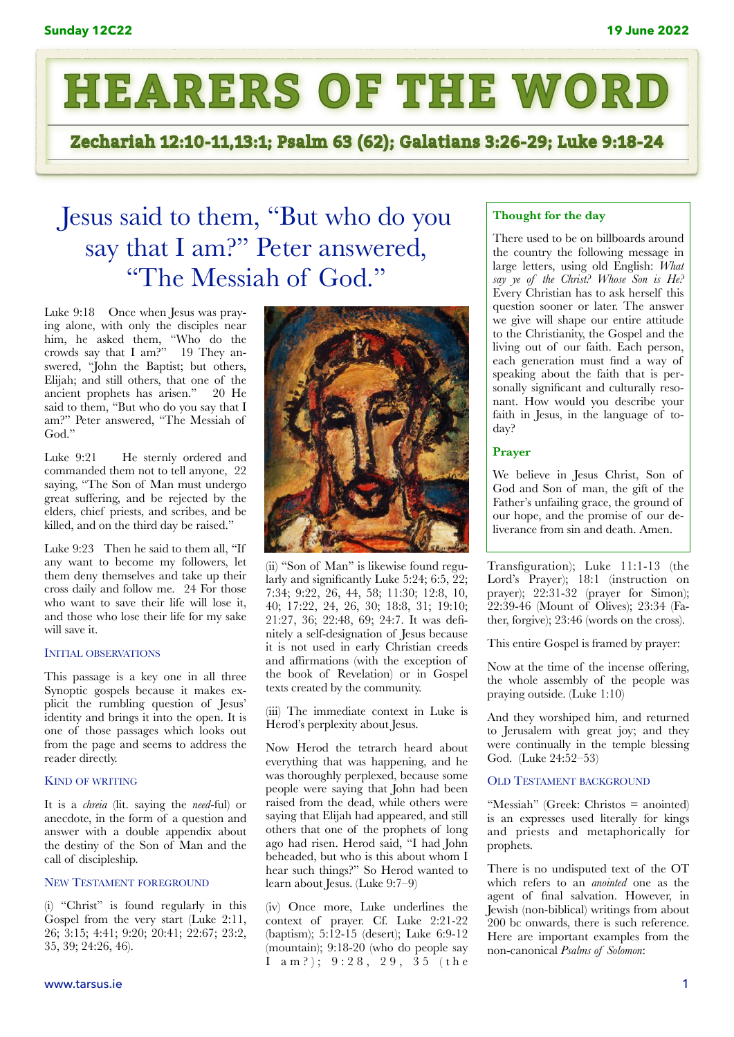

Zechariah 12:10-11,13:1; Psalm 63 (62); Galatians 3:26-29; Luke 9:18-24

# Jesus said to them, "But who do you say that I am?" Peter answered, "The Messiah of God."

Luke 9:18 Once when Jesus was praying alone, with only the disciples near him, he asked them, "Who do the crowds say that I am?" 19 They answered, "John the Baptist; but others, Elijah; and still others, that one of the ancient prophets has arisen." 20 He said to them, "But who do you say that I am?" Peter answered, "The Messiah of God."

Luke 9:21 He sternly ordered and commanded them not to tell anyone, 22 saying, "The Son of Man must undergo great suffering, and be rejected by the elders, chief priests, and scribes, and be killed, and on the third day be raised."

Luke 9:23 Then he said to them all, "If any want to become my followers, let them deny themselves and take up their cross daily and follow me. 24 For those who want to save their life will lose it, and those who lose their life for my sake will save it.

### INITIAL OBSERVATIONS

This passage is a key one in all three Synoptic gospels because it makes explicit the rumbling question of Jesus' identity and brings it into the open. It is one of those passages which looks out from the page and seems to address the reader directly.

#### KIND OF WRITING

It is a *chreia* (lit. saying the *need*-ful) or anecdote, in the form of a question and answer with a double appendix about the destiny of the Son of Man and the call of discipleship.

# NEW TESTAMENT FOREGROUND

(i) "Christ" is found regularly in this Gospel from the very start (Luke 2:11, 26; 3:15; 4:41; 9:20; 20:41; 22:67; 23:2, 35, 39; 24:26, 46).



(ii) "Son of Man" is likewise found regularly and significantly Luke 5:24; 6:5, 22; 7:34; 9:22, 26, 44, 58; 11:30; 12:8, 10, 40; 17:22, 24, 26, 30; 18:8, 31; 19:10; 21:27, 36; 22:48, 69; 24:7. It was defnitely a self-designation of Jesus because it is not used in early Christian creeds and affirmations (with the exception of the book of Revelation) or in Gospel texts created by the community.

(iii) The immediate context in Luke is Herod's perplexity about Jesus.

Now Herod the tetrarch heard about everything that was happening, and he was thoroughly perplexed, because some people were saying that John had been raised from the dead, while others were saying that Elijah had appeared, and still others that one of the prophets of long ago had risen. Herod said, "I had John beheaded, but who is this about whom I hear such things?" So Herod wanted to learn about Jesus. (Luke 9:7–9)

(iv) Once more, Luke underlines the context of prayer. Cf. Luke 2:21-22 (baptism); 5:12-15 (desert); Luke 6:9-12 (mountain); 9:18-20 (who do people say I am?); 9:28, 29, 35 (the

# **Thought for the day**

There used to be on billboards around the country the following message in large letters, using old English: *What say ye of the Christ? Whose Son is He?* Every Christian has to ask herself this question sooner or later. The answer we give will shape our entire attitude to the Christianity, the Gospel and the living out of our faith. Each person, each generation must find a way of speaking about the faith that is personally significant and culturally resonant. How would you describe your faith in Jesus, in the language of today?

## **Prayer**

We believe in Jesus Christ, Son of God and Son of man, the gift of the Father's unfailing grace, the ground of our hope, and the promise of our deliverance from sin and death. Amen.

Transfiguration); Luke 11:1-13 (the Lord's Prayer); 18:1 (instruction on prayer); 22:31-32 (prayer for Simon); 22:39-46 (Mount of Olives); 23:34 (Father, forgive); 23:46 (words on the cross).

This entire Gospel is framed by prayer:

Now at the time of the incense offering, the whole assembly of the people was praying outside. (Luke 1:10)

And they worshiped him, and returned to Jerusalem with great joy; and they were continually in the temple blessing God. (Luke 24:52–53)

#### OLD TESTAMENT BACKGROUND

"Messiah" (Greek: Christos = anointed) is an expresses used literally for kings and priests and metaphorically for prophets.

There is no undisputed text of the OT which refers to an *anointed* one as the agent of final salvation. However, in Jewish (non-biblical) writings from about 200 bc onwards, there is such reference. Here are important examples from the non-canonical *Psalms of Solomon*: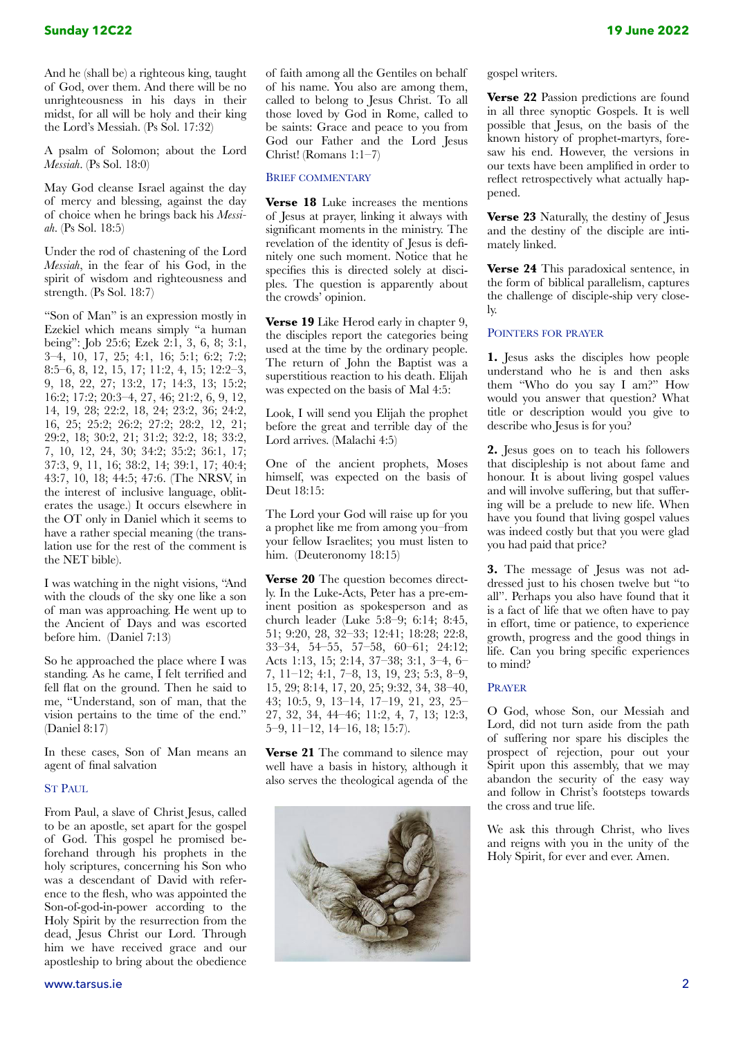And he (shall be) a righteous king, taught of God, over them. And there will be no unrighteousness in his days in their midst, for all will be holy and their king the Lord's Messiah. (Ps Sol. 17:32)

A psalm of Solomon; about the Lord *Messiah*. (Ps Sol. 18:0)

May God cleanse Israel against the day of mercy and blessing, against the day of choice when he brings back his *Messiah*. (Ps Sol. 18:5)

Under the rod of chastening of the Lord *Messiah*, in the fear of his God, in the spirit of wisdom and righteousness and strength. (Ps Sol. 18:7)

"Son of Man" is an expression mostly in Ezekiel which means simply "a human being": Job 25:6; Ezek 2:1, 3, 6, 8; 3:1, 3–4, 10, 17, 25; 4:1, 16; 5:1; 6:2; 7:2; 8:5–6, 8, 12, 15, 17; 11:2, 4, 15; 12:2–3, 9, 18, 22, 27; 13:2, 17; 14:3, 13; 15:2; 16:2; 17:2; 20:3–4, 27, 46; 21:2, 6, 9, 12, 14, 19, 28; 22:2, 18, 24; 23:2, 36; 24:2, 16, 25; 25:2; 26:2; 27:2; 28:2, 12, 21; 29:2, 18; 30:2, 21; 31:2; 32:2, 18; 33:2, 7, 10, 12, 24, 30; 34:2; 35:2; 36:1, 17; 37:3, 9, 11, 16; 38:2, 14; 39:1, 17; 40:4; 43:7, 10, 18; 44:5; 47:6. (The NRSV, in the interest of inclusive language, obliterates the usage.) It occurs elsewhere in the OT only in Daniel which it seems to have a rather special meaning (the translation use for the rest of the comment is the NET bible).

I was watching in the night visions, "And with the clouds of the sky one like a son of man was approaching. He went up to the Ancient of Days and was escorted before him. (Daniel 7:13)

So he approached the place where I was standing. As he came, I felt terrified and fell flat on the ground. Then he said to me, "Understand, son of man, that the vision pertains to the time of the end." (Daniel 8:17)

In these cases, Son of Man means an agent of final salvation

#### ST PAUL

From Paul, a slave of Christ Jesus, called to be an apostle, set apart for the gospel of God. This gospel he promised beforehand through his prophets in the holy scriptures, concerning his Son who was a descendant of David with reference to the flesh, who was appointed the Son-of-god-in-power according to the Holy Spirit by the resurrection from the dead, Jesus Christ our Lord. Through him we have received grace and our apostleship to bring about the obedience

of faith among all the Gentiles on behalf of his name. You also are among them, called to belong to Jesus Christ. To all those loved by God in Rome, called to be saints: Grace and peace to you from God our Father and the Lord Jesus Christ! (Romans 1:1–7)

#### BRIEF COMMENTARY

**Verse 18** Luke increases the mentions of Jesus at prayer, linking it always with significant moments in the ministry. The revelation of the identity of Jesus is defnitely one such moment. Notice that he specifies this is directed solely at disciples. The question is apparently about the crowds' opinion.

**Verse 19** Like Herod early in chapter 9, the disciples report the categories being used at the time by the ordinary people. The return of John the Baptist was a superstitious reaction to his death. Elijah was expected on the basis of Mal 4:5:

Look, I will send you Elijah the prophet before the great and terrible day of the Lord arrives. (Malachi 4:5)

One of the ancient prophets, Moses himself, was expected on the basis of Deut 18:15:

The Lord your God will raise up for you a prophet like me from among you–from your fellow Israelites; you must listen to him. (Deuteronomy 18:15)

**Verse 20** The question becomes directly. In the Luke-Acts, Peter has a pre-eminent position as spokesperson and as church leader (Luke 5:8–9; 6:14; 8:45, 51; 9:20, 28, 32–33; 12:41; 18:28; 22:8, 33–34, 54–55, 57–58, 60–61; 24:12; Acts 1:13, 15; 2:14, 37–38; 3:1, 3–4, 6– 7, 11–12; 4:1, 7–8, 13, 19, 23; 5:3, 8–9, 15, 29; 8:14, 17, 20, 25; 9:32, 34, 38–40, 43; 10:5, 9, 13–14, 17–19, 21, 23, 25– 27, 32, 34, 44–46; 11:2, 4, 7, 13; 12:3, 5–9, 11–12, 14–16, 18; 15:7).

**Verse 21** The command to silence may well have a basis in history, although it also serves the theological agenda of the



gospel writers.

**Verse 22** Passion predictions are found in all three synoptic Gospels. It is well possible that Jesus, on the basis of the known history of prophet-martyrs, foresaw his end. However, the versions in our texts have been amplified in order to reflect retrospectively what actually happened.

**Verse 23** Naturally, the destiny of Jesus and the destiny of the disciple are intimately linked.

**Verse 24** This paradoxical sentence, in the form of biblical parallelism, captures the challenge of disciple-ship very closely.

# POINTERS FOR PRAYER

**1.** Jesus asks the disciples how people understand who he is and then asks them "Who do you say I am?" How would you answer that question? What title or description would you give to describe who Jesus is for you?

**2.** Jesus goes on to teach his followers that discipleship is not about fame and honour. It is about living gospel values and will involve suffering, but that suffering will be a prelude to new life. When have you found that living gospel values was indeed costly but that you were glad you had paid that price?

**3.** The message of Jesus was not addressed just to his chosen twelve but "to all". Perhaps you also have found that it is a fact of life that we often have to pay in effort, time or patience, to experience growth, progress and the good things in life. Can you bring specific experiences to mind?

#### PRAYER

O God, whose Son, our Messiah and Lord, did not turn aside from the path of suffering nor spare his disciples the prospect of rejection, pour out your Spirit upon this assembly, that we may abandon the security of the easy way and follow in Christ's footsteps towards the cross and true life.

We ask this through Christ, who lives and reigns with you in the unity of the Holy Spirit, for ever and ever. Amen.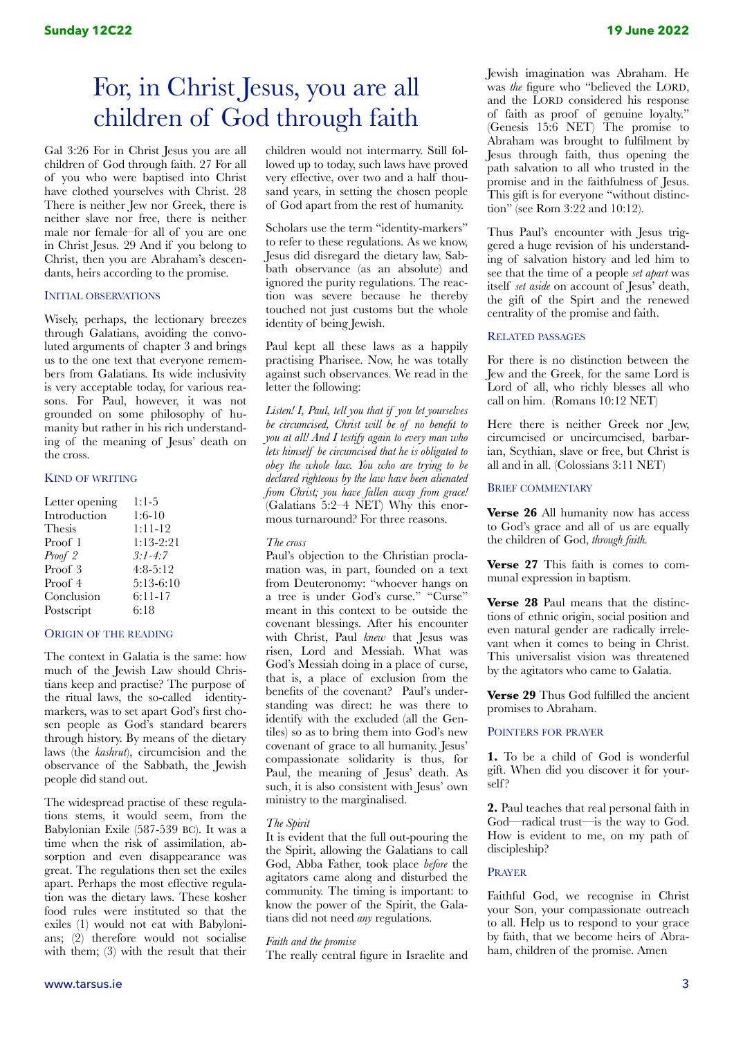# For, in Christ Jesus, you are all children of God through faith

Gal 3:26 For in Christ Jesus you are all children of God through faith. 27 For all of you who were baptised into Christ have clothed yourselves with Christ. 28 There is neither Jew nor Greek, there is neither slave nor free, there is neither male nor female–for all of you are one in Christ Jesus. 29 And if you belong to Christ, then you are Abraham's descendants, heirs according to the promise.

#### INITIAL OBSERVATIONS

Wisely, perhaps, the lectionary breezes through Galatians, avoiding the convoluted arguments of chapter 3 and brings us to the one text that everyone remembers from Galatians. Its wide inclusivity is very acceptable today, for various reasons. For Paul, however, it was not grounded on some philosophy of humanity but rather in his rich understanding of the meaning of Jesus' death on the cross.

## KIND OF WRITING

| Letter opening | $1:1-5$     |
|----------------|-------------|
| Introduction   | $1:6-10$    |
| Thesis         | $1:11-12$   |
| Proof 1        | $1:13-2:21$ |
| Proof 2        | $3:1 - 4:7$ |
| Proof 3        | $4:8-5:12$  |
| Proof 4        | $5:13-6:10$ |
| Conclusion     | 6:11-17     |
| Postscript     | 6:18        |

#### ORIGIN OF THE READING

The context in Galatia is the same: how much of the Jewish Law should Christians keep and practise? The purpose of the ritual laws, the so-called identitymarkers, was to set apart God's first chosen people as God's standard bearers through history. By means of the dietary laws (the *kashrut*), circumcision and the observance of the Sabbath, the Jewish people did stand out.

The widespread practise of these regulations stems, it would seem, from the Babylonian Exile (587-539 BC). It was a time when the risk of assimilation, absorption and even disappearance was great. The regulations then set the exiles apart. Perhaps the most effective regulation was the dietary laws. These kosher food rules were instituted so that the exiles (1) would not eat with Babylonians; (2) therefore would not socialise with them; (3) with the result that their children would not intermarry. Still followed up to today, such laws have proved very effective, over two and a half thousand years, in setting the chosen people of God apart from the rest of humanity.

Scholars use the term "identity-markers" to refer to these regulations. As we know, Jesus did disregard the dietary law, Sabbath observance (as an absolute) and ignored the purity regulations. The reaction was severe because he thereby touched not just customs but the whole identity of being Jewish.

Paul kept all these laws as a happily practising Pharisee. Now, he was totally against such observances. We read in the letter the following:

*Listen! I, Paul, tell you that if you let yourselves be circumcised, Christ will be of no benefit to you at all! And I testify again to every man who lets himself be circumcised that he is obligated to obey the whole law. You who are trying to be declared righteous by the law have been alienated from Christ; you have fallen away from grace!*  (Galatians 5:2–4 NET) Why this enormous turnaround? For three reasons.

#### *The cross*

Paul's objection to the Christian proclamation was, in part, founded on a text from Deuteronomy: "whoever hangs on a tree is under God's curse." "Curse" meant in this context to be outside the covenant blessings. After his encounter with Christ, Paul *knew* that Jesus was risen, Lord and Messiah. What was God's Messiah doing in a place of curse, that is, a place of exclusion from the benefits of the covenant? Paul's understanding was direct: he was there to identify with the excluded (all the Gentiles) so as to bring them into God's new covenant of grace to all humanity. Jesus' compassionate solidarity is thus, for Paul, the meaning of Jesus' death. As such, it is also consistent with Jesus' own ministry to the marginalised.

#### *The Spirit*

It is evident that the full out-pouring the the Spirit, allowing the Galatians to call God, Abba Father, took place *before* the agitators came along and disturbed the community. The timing is important: to know the power of the Spirit, the Galatians did not need *any* regulations.

#### *Faith and the promise*

The really central figure in Israelite and

Jewish imagination was Abraham. He was *the* figure who "believed the LORD, and the LORD considered his response of faith as proof of genuine loyalty." (Genesis 15:6 NET) The promise to Abraham was brought to fulfilment by Jesus through faith, thus opening the path salvation to all who trusted in the promise and in the faithfulness of Jesus. This gift is for everyone "without distinction" (see Rom 3:22 and 10:12).

Thus Paul's encounter with Jesus triggered a huge revision of his understanding of salvation history and led him to see that the time of a people *set apart* was itself *set aside* on account of Jesus' death, the gift of the Spirt and the renewed centrality of the promise and faith.

#### RELATED PASSAGES

For there is no distinction between the Jew and the Greek, for the same Lord is Lord of all, who richly blesses all who call on him. (Romans 10:12 NET)

Here there is neither Greek nor Jew, circumcised or uncircumcised, barbarian, Scythian, slave or free, but Christ is all and in all. (Colossians 3:11 NET)

## BRIEF COMMENTARY

**Verse 26** All humanity now has access to God's grace and all of us are equally the children of God, *through faith.* 

**Verse 27** This faith is comes to communal expression in baptism.

**Verse 28** Paul means that the distinctions of ethnic origin, social position and even natural gender are radically irrelevant when it comes to being in Christ. This universalist vision was threatened by the agitators who came to Galatia.

**Verse 29** Thus God fulfilled the ancient promises to Abraham.

#### POINTERS FOR PRAYER

**1.** To be a child of God is wonderful gift. When did you discover it for yourself ?

**2.** Paul teaches that real personal faith in God—radical trust—is the way to God. How is evident to me, on my path of discipleship?

### PRAYER

Faithful God, we recognise in Christ your Son, your compassionate outreach to all. Help us to respond to your grace by faith, that we become heirs of Abraham, children of the promise. Amen